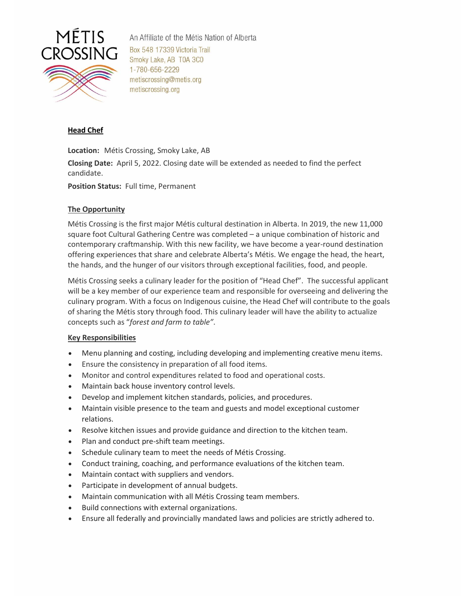

An Affiliate of the Métis Nation of Alberta Box 548 17339 Victoria Trail Smoky Lake, AB T0A 3C0 1-780-656-2229 metiscrossing@metis.org metiscrossing.org

# **Head Chef**

**Location:** Métis Crossing, Smoky Lake, AB

**Closing Date:** April 5, 2022. Closing date will be extended as needed to find the perfect candidate.

**Position Status:** Full time, Permanent

#### **The Opportunity**

Métis Crossing is the first major Métis cultural destination in Alberta. In 2019, the new 11,000 square foot Cultural Gathering Centre was completed – a unique combination of historic and contemporary craftmanship. With this new facility, we have become a year-round destination offering experiences that share and celebrate Alberta's Métis. We engage the head, the heart, the hands, and the hunger of our visitors through exceptional facilities, food, and people.

Métis Crossing seeks a culinary leader for the position of "Head Chef". The successful applicant will be a key member of our experience team and responsible for overseeing and delivering the culinary program. With a focus on Indigenous cuisine, the Head Chef will contribute to the goals of sharing the Métis story through food. This culinary leader will have the ability to actualize concepts such as "*forest and farm to table"*.

#### **Key Responsibilities**

- Menu planning and costing, including developing and implementing creative menu items.
- Ensure the consistency in preparation of all food items.
- Monitor and control expenditures related to food and operational costs.
- Maintain back house inventory control levels.
- Develop and implement kitchen standards, policies, and procedures.
- Maintain visible presence to the team and guests and model exceptional customer relations.
- Resolve kitchen issues and provide guidance and direction to the kitchen team.
- Plan and conduct pre-shift team meetings.
- Schedule culinary team to meet the needs of Métis Crossing.
- Conduct training, coaching, and performance evaluations of the kitchen team.
- Maintain contact with suppliers and vendors.
- Participate in development of annual budgets.
- Maintain communication with all Métis Crossing team members.
- Build connections with external organizations.
- Ensure all federally and provincially mandated laws and policies are strictly adhered to.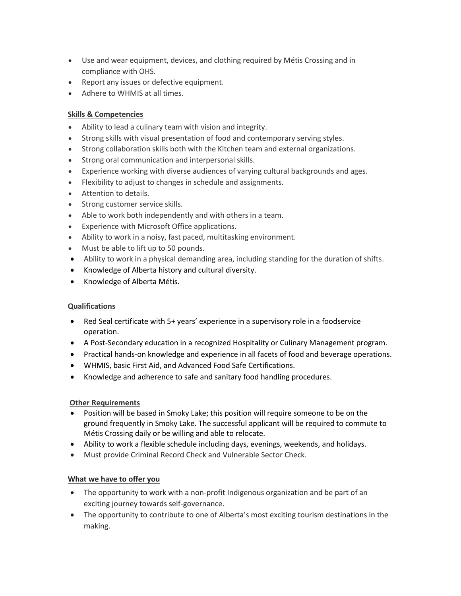- Use and wear equipment, devices, and clothing required by Métis Crossing and in compliance with OHS.
- Report any issues or defective equipment.
- Adhere to WHMIS at all times.

## **Skills & Competencies**

- Ability to lead a culinary team with vision and integrity.
- Strong skills with visual presentation of food and contemporary serving styles.
- Strong collaboration skills both with the Kitchen team and external organizations.
- Strong oral communication and interpersonal skills.
- Experience working with diverse audiences of varying cultural backgrounds and ages.
- Flexibility to adjust to changes in schedule and assignments.
- Attention to details.
- Strong customer service skills.
- Able to work both independently and with others in a team.
- Experience with Microsoft Office applications.
- Ability to work in a noisy, fast paced, multitasking environment.
- Must be able to lift up to 50 pounds.
- Ability to work in a physical demanding area, including standing for the duration of shifts.
- Knowledge of Alberta history and cultural diversity.
- Knowledge of Alberta Métis.

## **Qualifications**

- Red Seal certificate with 5+ years' experience in a supervisory role in a foodservice operation.
- A Post-Secondary education in a recognized Hospitality or Culinary Management program.
- Practical hands-on knowledge and experience in all facets of food and beverage operations.
- WHMIS, basic First Aid, and Advanced Food Safe Certifications.
- Knowledge and adherence to safe and sanitary food handling procedures.

## **Other Requirements**

- Position will be based in Smoky Lake; this position will require someone to be on the ground frequently in Smoky Lake. The successful applicant will be required to commute to Métis Crossing daily or be willing and able to relocate.
- Ability to work a flexible schedule including days, evenings, weekends, and holidays.
- Must provide Criminal Record Check and Vulnerable Sector Check.

## **What we have to offer you**

- The opportunity to work with a non-profit Indigenous organization and be part of an exciting journey towards self-governance.
- The opportunity to contribute to one of Alberta's most exciting tourism destinations in the making.